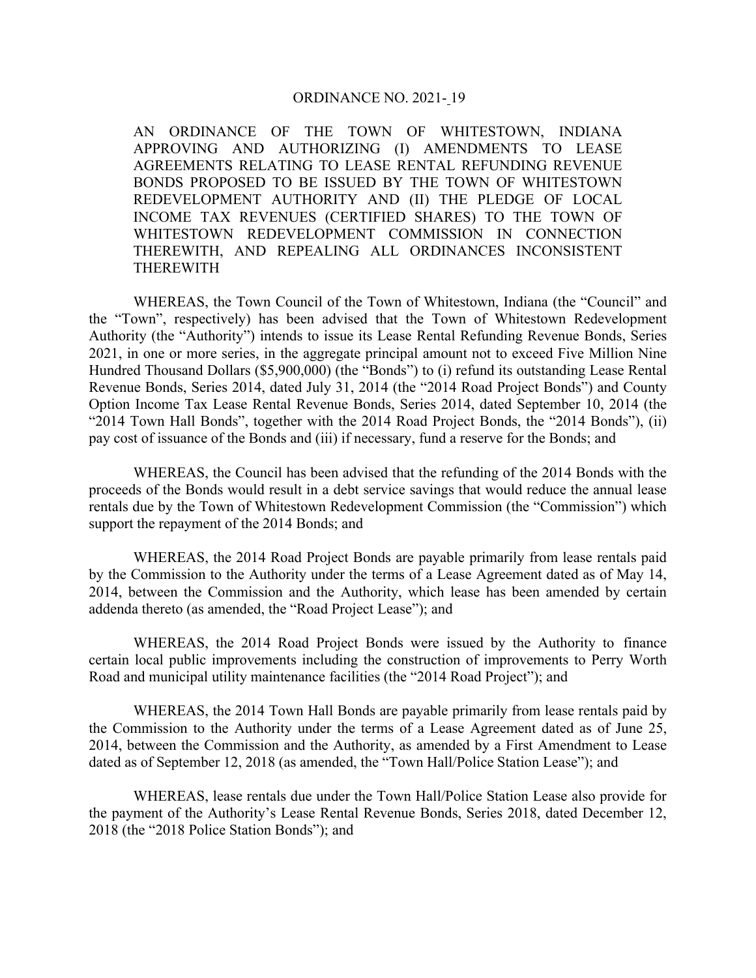## ORDINANCE NO. 2021- 19

AN ORDINANCE OF THE TOWN OF WHITESTOWN, INDIANA APPROVING AND AUTHORIZING (I) AMENDMENTS TO LEASE AGREEMENTS RELATING TO LEASE RENTAL REFUNDING REVENUE BONDS PROPOSED TO BE ISSUED BY THE TOWN OF WHITESTOWN REDEVELOPMENT AUTHORITY AND (II) THE PLEDGE OF LOCAL INCOME TAX REVENUES (CERTIFIED SHARES) TO THE TOWN OF WHITESTOWN REDEVELOPMENT COMMISSION IN CONNECTION THEREWITH, AND REPEALING ALL ORDINANCES INCONSISTENT THEREWITH

WHEREAS, the Town Council of the Town of Whitestown, Indiana (the "Council" and the "Town", respectively) has been advised that the Town of Whitestown Redevelopment Authority (the "Authority") intends to issue its Lease Rental Refunding Revenue Bonds, Series 2021, in one or more series, in the aggregate principal amount not to exceed Five Million Nine Hundred Thousand Dollars (\$5,900,000) (the "Bonds") to (i) refund its outstanding Lease Rental Revenue Bonds, Series 2014, dated July 31, 2014 (the "2014 Road Project Bonds") and County Option Income Tax Lease Rental Revenue Bonds, Series 2014, dated September 10, 2014 (the "2014 Town Hall Bonds", together with the 2014 Road Project Bonds, the "2014 Bonds"), (ii) pay cost of issuance of the Bonds and (iii) if necessary, fund a reserve for the Bonds; and

WHEREAS, the Council has been advised that the refunding of the 2014 Bonds with the proceeds of the Bonds would result in a debt service savings that would reduce the annual lease rentals due by the Town of Whitestown Redevelopment Commission (the "Commission") which support the repayment of the 2014 Bonds; and

WHEREAS, the 2014 Road Project Bonds are payable primarily from lease rentals paid by the Commission to the Authority under the terms of a Lease Agreement dated as of May 14, 2014, between the Commission and the Authority, which lease has been amended by certain addenda thereto (as amended, the "Road Project Lease"); and

WHEREAS, the 2014 Road Project Bonds were issued by the Authority to finance certain local public improvements including the construction of improvements to Perry Worth Road and municipal utility maintenance facilities (the "2014 Road Project"); and

WHEREAS, the 2014 Town Hall Bonds are payable primarily from lease rentals paid by the Commission to the Authority under the terms of a Lease Agreement dated as of June 25, 2014, between the Commission and the Authority, as amended by a First Amendment to Lease dated as of September 12, 2018 (as amended, the "Town Hall/Police Station Lease"); and

WHEREAS, lease rentals due under the Town Hall/Police Station Lease also provide for the payment of the Authority's Lease Rental Revenue Bonds, Series 2018, dated December 12, 2018 (the "2018 Police Station Bonds"); and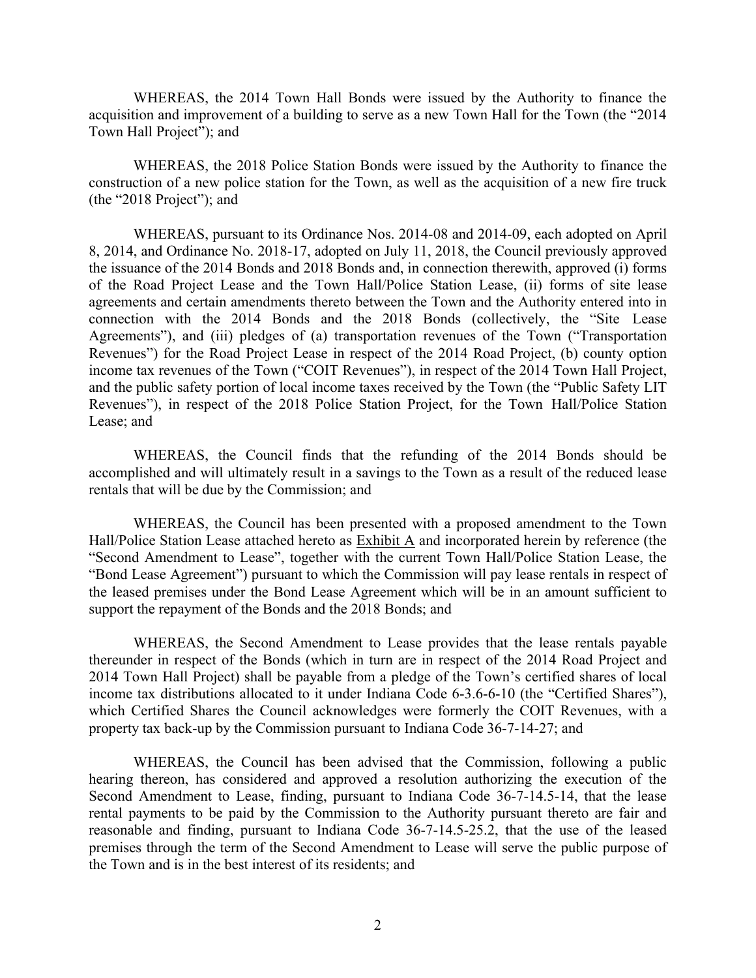WHEREAS, the 2014 Town Hall Bonds were issued by the Authority to finance the acquisition and improvement of a building to serve as a new Town Hall for the Town (the "2014 Town Hall Project"); and

WHEREAS, the 2018 Police Station Bonds were issued by the Authority to finance the construction of a new police station for the Town, as well as the acquisition of a new fire truck (the "2018 Project"); and

WHEREAS, pursuant to its Ordinance Nos. 2014-08 and 2014-09, each adopted on April 8, 2014, and Ordinance No. 2018-17, adopted on July 11, 2018, the Council previously approved the issuance of the 2014 Bonds and 2018 Bonds and, in connection therewith, approved (i) forms of the Road Project Lease and the Town Hall/Police Station Lease, (ii) forms of site lease agreements and certain amendments thereto between the Town and the Authority entered into in connection with the 2014 Bonds and the 2018 Bonds (collectively, the "Site Lease Agreements"), and (iii) pledges of (a) transportation revenues of the Town ("Transportation Revenues") for the Road Project Lease in respect of the 2014 Road Project, (b) county option income tax revenues of the Town ("COIT Revenues"), in respect of the 2014 Town Hall Project, and the public safety portion of local income taxes received by the Town (the "Public Safety LIT Revenues"), in respect of the 2018 Police Station Project, for the Town Hall/Police Station Lease; and

WHEREAS, the Council finds that the refunding of the 2014 Bonds should be accomplished and will ultimately result in a savings to the Town as a result of the reduced lease rentals that will be due by the Commission; and

WHEREAS, the Council has been presented with a proposed amendment to the Town Hall/Police Station Lease attached hereto as  $\frac{Exhibit A}{A}$  and incorporated herein by reference (the "Second Amendment to Lease", together with the current Town Hall/Police Station Lease, the "Bond Lease Agreement") pursuant to which the Commission will pay lease rentals in respect of the leased premises under the Bond Lease Agreement which will be in an amount sufficient to support the repayment of the Bonds and the 2018 Bonds; and

WHEREAS, the Second Amendment to Lease provides that the lease rentals payable thereunder in respect of the Bonds (which in turn are in respect of the 2014 Road Project and 2014 Town Hall Project) shall be payable from a pledge of the Town's certified shares of local income tax distributions allocated to it under Indiana Code 6-3.6-6-10 (the "Certified Shares"), which Certified Shares the Council acknowledges were formerly the COIT Revenues, with a property tax back-up by the Commission pursuant to Indiana Code 36-7-14-27; and

WHEREAS, the Council has been advised that the Commission, following a public hearing thereon, has considered and approved a resolution authorizing the execution of the Second Amendment to Lease, finding, pursuant to Indiana Code 36-7-14.5-14, that the lease rental payments to be paid by the Commission to the Authority pursuant thereto are fair and reasonable and finding, pursuant to Indiana Code 36-7-14.5-25.2, that the use of the leased premises through the term of the Second Amendment to Lease will serve the public purpose of the Town and is in the best interest of its residents; and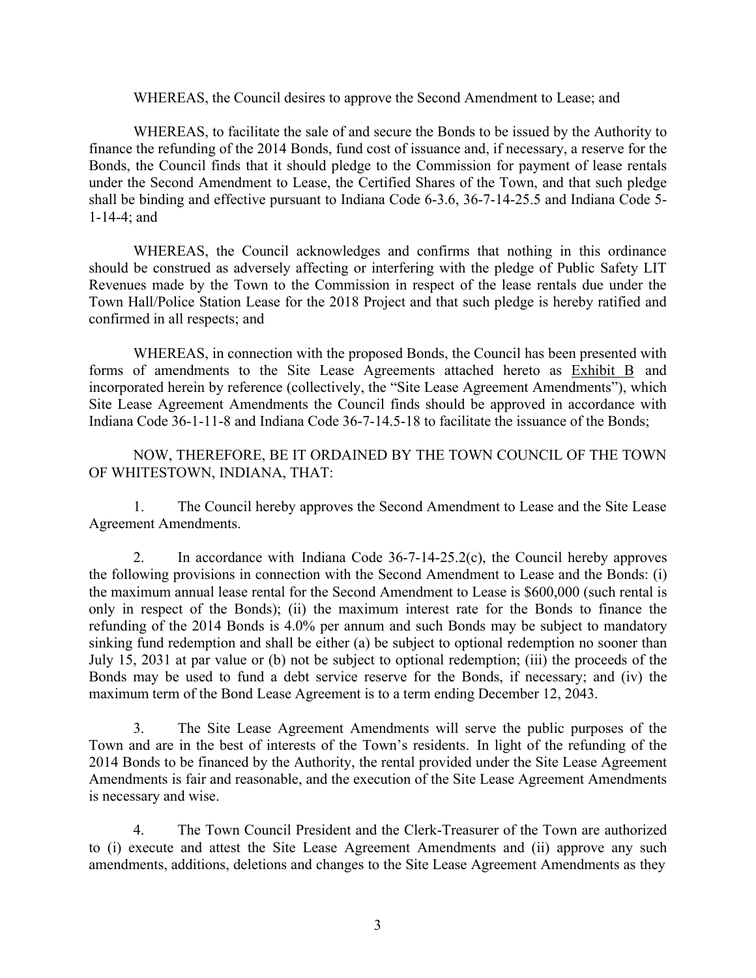WHEREAS, the Council desires to approve the Second Amendment to Lease; and

WHEREAS, to facilitate the sale of and secure the Bonds to be issued by the Authority to finance the refunding of the 2014 Bonds, fund cost of issuance and, if necessary, a reserve for the Bonds, the Council finds that it should pledge to the Commission for payment of lease rentals under the Second Amendment to Lease, the Certified Shares of the Town, and that such pledge shall be binding and effective pursuant to Indiana Code 6-3.6, 36-7-14-25.5 and Indiana Code 5- 1-14-4; and

WHEREAS, the Council acknowledges and confirms that nothing in this ordinance should be construed as adversely affecting or interfering with the pledge of Public Safety LIT Revenues made by the Town to the Commission in respect of the lease rentals due under the Town Hall/Police Station Lease for the 2018 Project and that such pledge is hereby ratified and confirmed in all respects; and

WHEREAS, in connection with the proposed Bonds, the Council has been presented with forms of amendments to the Site Lease Agreements attached hereto as Exhibit B and incorporated herein by reference (collectively, the "Site Lease Agreement Amendments"), which Site Lease Agreement Amendments the Council finds should be approved in accordance with Indiana Code 36-1-11-8 and Indiana Code 36-7-14.5-18 to facilitate the issuance of the Bonds;

NOW, THEREFORE, BE IT ORDAINED BY THE TOWN COUNCIL OF THE TOWN OF WHITESTOWN, INDIANA, THAT:

1. The Council hereby approves the Second Amendment to Lease and the Site Lease Agreement Amendments.

2. In accordance with Indiana Code 36-7-14-25.2(c), the Council hereby approves the following provisions in connection with the Second Amendment to Lease and the Bonds: (i) the maximum annual lease rental for the Second Amendment to Lease is \$600,000 (such rental is only in respect of the Bonds); (ii) the maximum interest rate for the Bonds to finance the refunding of the 2014 Bonds is 4.0% per annum and such Bonds may be subject to mandatory sinking fund redemption and shall be either (a) be subject to optional redemption no sooner than July 15, 2031 at par value or (b) not be subject to optional redemption; (iii) the proceeds of the Bonds may be used to fund a debt service reserve for the Bonds, if necessary; and (iv) the maximum term of the Bond Lease Agreement is to a term ending December 12, 2043.

3. The Site Lease Agreement Amendments will serve the public purposes of the Town and are in the best of interests of the Town's residents. In light of the refunding of the 2014 Bonds to be financed by the Authority, the rental provided under the Site Lease Agreement Amendments is fair and reasonable, and the execution of the Site Lease Agreement Amendments is necessary and wise.

4. The Town Council President and the Clerk-Treasurer of the Town are authorized to (i) execute and attest the Site Lease Agreement Amendments and (ii) approve any such amendments, additions, deletions and changes to the Site Lease Agreement Amendments as they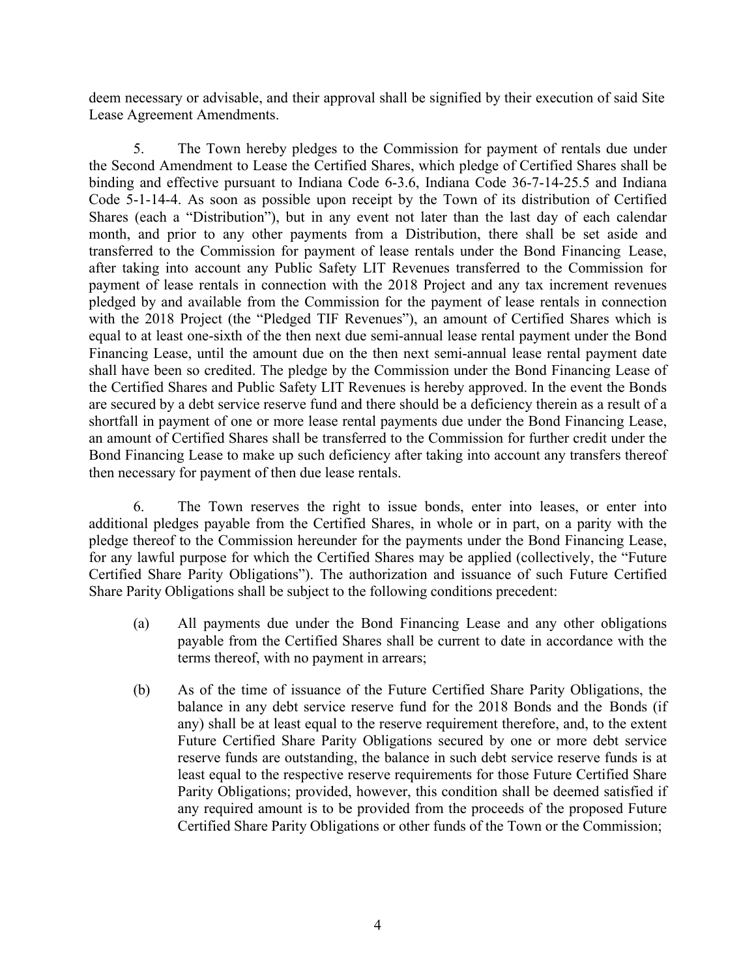deem necessary or advisable, and their approval shall be signified by their execution of said Site Lease Agreement Amendments.

5. The Town hereby pledges to the Commission for payment of rentals due under the Second Amendment to Lease the Certified Shares, which pledge of Certified Shares shall be binding and effective pursuant to Indiana Code 6-3.6, Indiana Code 36-7-14-25.5 and Indiana Code 5-1-14-4. As soon as possible upon receipt by the Town of its distribution of Certified Shares (each a "Distribution"), but in any event not later than the last day of each calendar month, and prior to any other payments from a Distribution, there shall be set aside and transferred to the Commission for payment of lease rentals under the Bond Financing Lease, after taking into account any Public Safety LIT Revenues transferred to the Commission for payment of lease rentals in connection with the 2018 Project and any tax increment revenues pledged by and available from the Commission for the payment of lease rentals in connection with the 2018 Project (the "Pledged TIF Revenues"), an amount of Certified Shares which is equal to at least one-sixth of the then next due semi-annual lease rental payment under the Bond Financing Lease, until the amount due on the then next semi-annual lease rental payment date shall have been so credited. The pledge by the Commission under the Bond Financing Lease of the Certified Shares and Public Safety LIT Revenues is hereby approved. In the event the Bonds are secured by a debt service reserve fund and there should be a deficiency therein as a result of a shortfall in payment of one or more lease rental payments due under the Bond Financing Lease, an amount of Certified Shares shall be transferred to the Commission for further credit under the Bond Financing Lease to make up such deficiency after taking into account any transfers thereof then necessary for payment of then due lease rentals.

6. The Town reserves the right to issue bonds, enter into leases, or enter into additional pledges payable from the Certified Shares, in whole or in part, on a parity with the pledge thereof to the Commission hereunder for the payments under the Bond Financing Lease, for any lawful purpose for which the Certified Shares may be applied (collectively, the "Future Certified Share Parity Obligations"). The authorization and issuance of such Future Certified Share Parity Obligations shall be subject to the following conditions precedent:

- (a) All payments due under the Bond Financing Lease and any other obligations payable from the Certified Shares shall be current to date in accordance with the terms thereof, with no payment in arrears;
- (b) As of the time of issuance of the Future Certified Share Parity Obligations, the balance in any debt service reserve fund for the 2018 Bonds and the Bonds (if any) shall be at least equal to the reserve requirement therefore, and, to the extent Future Certified Share Parity Obligations secured by one or more debt service reserve funds are outstanding, the balance in such debt service reserve funds is at least equal to the respective reserve requirements for those Future Certified Share Parity Obligations; provided, however, this condition shall be deemed satisfied if any required amount is to be provided from the proceeds of the proposed Future Certified Share Parity Obligations or other funds of the Town or the Commission;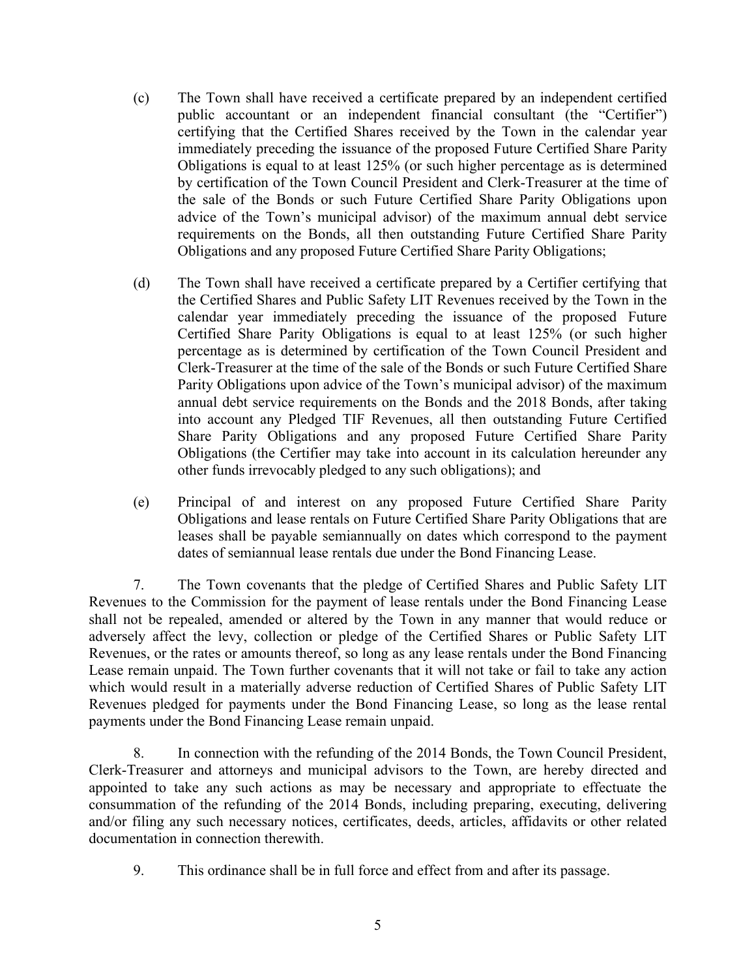- (c) The Town shall have received a certificate prepared by an independent certified public accountant or an independent financial consultant (the "Certifier") certifying that the Certified Shares received by the Town in the calendar year immediately preceding the issuance of the proposed Future Certified Share Parity Obligations is equal to at least 125% (or such higher percentage as is determined by certification of the Town Council President and Clerk-Treasurer at the time of the sale of the Bonds or such Future Certified Share Parity Obligations upon advice of the Town's municipal advisor) of the maximum annual debt service requirements on the Bonds, all then outstanding Future Certified Share Parity Obligations and any proposed Future Certified Share Parity Obligations;
- (d) The Town shall have received a certificate prepared by a Certifier certifying that the Certified Shares and Public Safety LIT Revenues received by the Town in the calendar year immediately preceding the issuance of the proposed Future Certified Share Parity Obligations is equal to at least 125% (or such higher percentage as is determined by certification of the Town Council President and Clerk-Treasurer at the time of the sale of the Bonds or such Future Certified Share Parity Obligations upon advice of the Town's municipal advisor) of the maximum annual debt service requirements on the Bonds and the 2018 Bonds, after taking into account any Pledged TIF Revenues, all then outstanding Future Certified Share Parity Obligations and any proposed Future Certified Share Parity Obligations (the Certifier may take into account in its calculation hereunder any other funds irrevocably pledged to any such obligations); and
- (e) Principal of and interest on any proposed Future Certified Share Parity Obligations and lease rentals on Future Certified Share Parity Obligations that are leases shall be payable semiannually on dates which correspond to the payment dates of semiannual lease rentals due under the Bond Financing Lease.

7. The Town covenants that the pledge of Certified Shares and Public Safety LIT Revenues to the Commission for the payment of lease rentals under the Bond Financing Lease shall not be repealed, amended or altered by the Town in any manner that would reduce or adversely affect the levy, collection or pledge of the Certified Shares or Public Safety LIT Revenues, or the rates or amounts thereof, so long as any lease rentals under the Bond Financing Lease remain unpaid. The Town further covenants that it will not take or fail to take any action which would result in a materially adverse reduction of Certified Shares of Public Safety LIT Revenues pledged for payments under the Bond Financing Lease, so long as the lease rental payments under the Bond Financing Lease remain unpaid.

8. In connection with the refunding of the 2014 Bonds, the Town Council President, Clerk-Treasurer and attorneys and municipal advisors to the Town, are hereby directed and appointed to take any such actions as may be necessary and appropriate to effectuate the consummation of the refunding of the 2014 Bonds, including preparing, executing, delivering and/or filing any such necessary notices, certificates, deeds, articles, affidavits or other related documentation in connection therewith.

9. This ordinance shall be in full force and effect from and after its passage.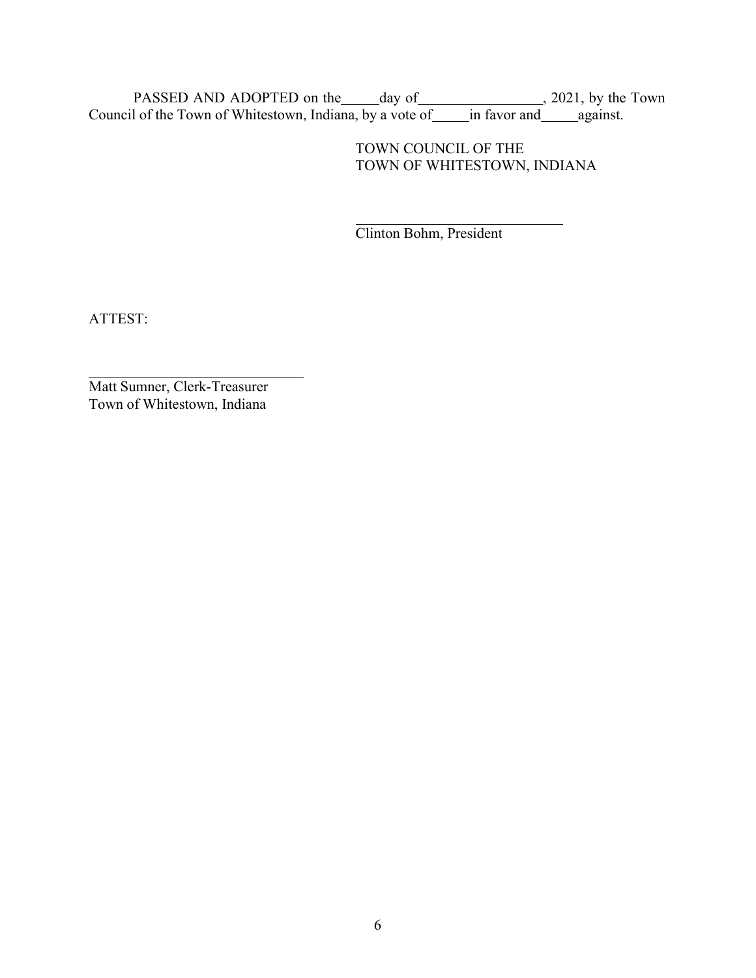PASSED AND ADOPTED on the day of 12021, by the Town Council of the Town of Whitestown, Indiana, by a vote of \_\_\_\_\_in favor and \_\_\_\_\_against.

## TOWN COUNCIL OF THE TOWN OF WHITESTOWN, INDIANA

Clinton Bohm, President

ATTEST:

Matt Sumner, Clerk-Treasurer Town of Whitestown, Indiana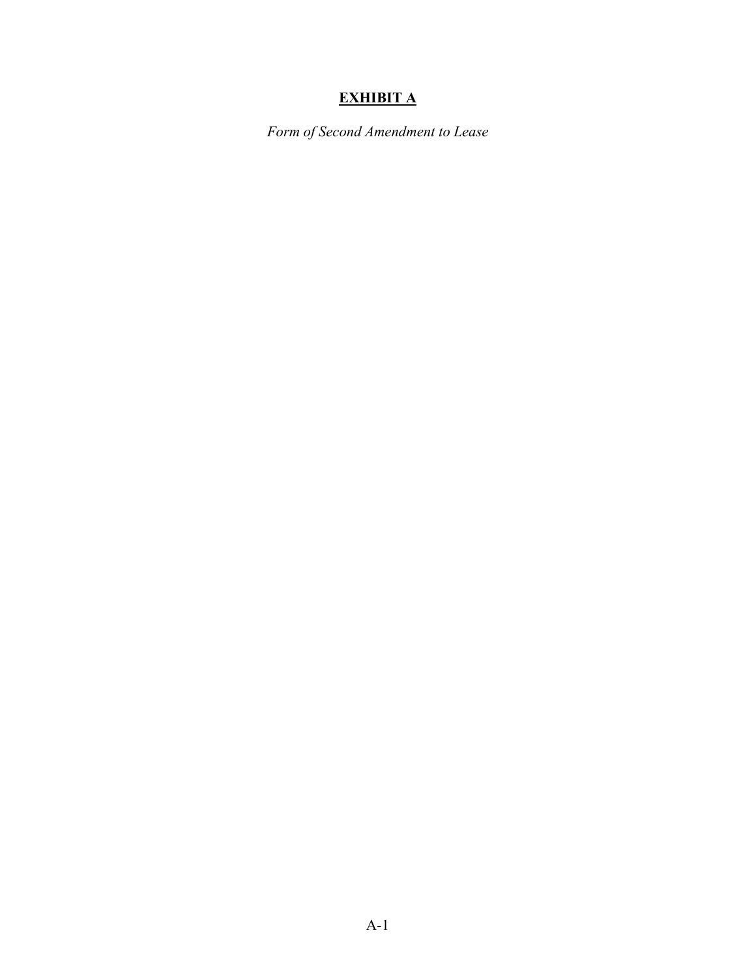## **EXHIBIT A**

*Form of Second Amendment to Lease*